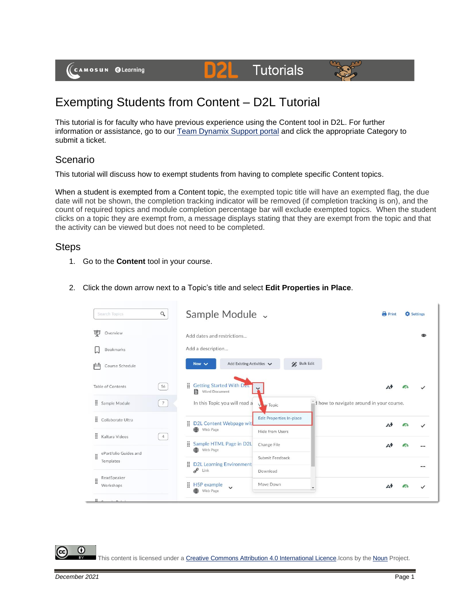(CAMOSUN @Learning

# Exempting Students from Content – D2L Tutorial

This tutorial is for faculty who have previous experience using the Content tool in D2L. For further information or assistance, go to our [Team Dynamix Support portal](https://camosun.teamdynamix.com/TDClient/67/Portal/Requests/ServiceCatalog?CategoryID=523) and click the appropriate Category to submit a ticket.

D2L

**Tutorials** 

## Scenario

This tutorial will discuss how to exempt students from having to complete specific Content topics.

When a student is exempted from a Content topic, the exempted topic title will have an exempted flag, the due date will not be shown, the completion tracking indicator will be removed (if completion tracking is on), and the count of required topics and module completion percentage bar will exclude exempted topics. When the student clicks on a topic they are exempt from, a message displays stating that they are exempt from the topic and that the activity can be viewed but does not need to be completed.

### Steps

- 1. Go to the **Content** tool in your course.
- 2. Click the down arrow next to a Topic's title and select **Edit Properties in Place**.



This content is licensed under [a Creative Commons Attribution 4.0 International Licence.I](https://creativecommons.org/licenses/by/4.0/)cons by the [Noun](https://creativecommons.org/website-icons/) Project.

⋒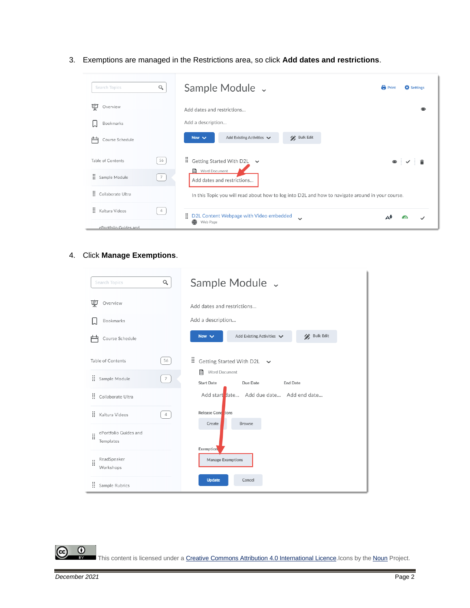3. Exemptions are managed in the Restrictions area, so click **Add dates and restrictions**.



#### 4. Click **Manage Exemptions**.

| Search Topics                           | Q               | Sample Module v                                                        |
|-----------------------------------------|-----------------|------------------------------------------------------------------------|
| 덫<br>Overview                           |                 | Add dates and restrictions                                             |
| Bookmarks                               |                 | Add a description                                                      |
| Course Schedule                         |                 | Add Existing Activities V<br><b>Bulk Edit</b><br>New $\vee$            |
| Table of Contents                       | 56              | H.<br>Getting Started With D2L<br>$\checkmark$                         |
| ÷<br>Sample Module                      | $7\overline{ }$ | Word Document<br>目<br><b>Start Date</b><br>Due Date<br><b>End Date</b> |
| B<br>Collaborate Ultra                  |                 | Add start date Add due date Add end date                               |
| B<br>Kaltura Videos                     | $\overline{4}$  | Release Conduions<br>Create<br><b>Browse</b>                           |
| ePortfolio Guides and<br>ă<br>Templates |                 |                                                                        |
| ReadSpeaker<br>ă<br>Workshops           |                 | Exemption<br>Manage Exemptions                                         |
| B<br>Sample Rubrics                     |                 | <b>Update</b><br>Cancel                                                |

 $\odot$ 

This content is licensed under [a Creative Commons Attribution 4.0 International Licence.I](https://creativecommons.org/licenses/by/4.0/)cons by the [Noun](https://creativecommons.org/website-icons/) Project.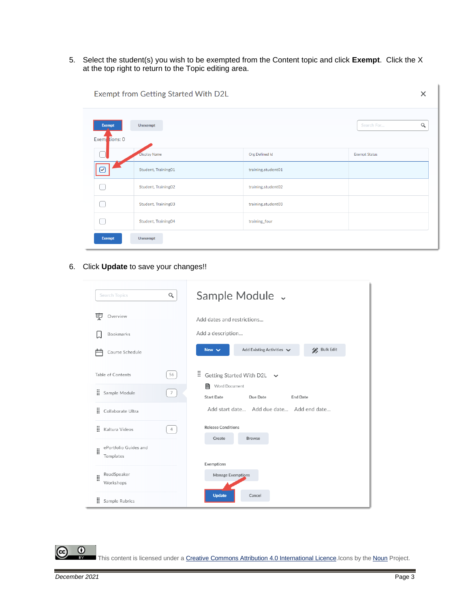5. Select the student(s) you wish to be exempted from the Content topic and click **Exempt**. Click the X at the top right to return to the Topic editing area.

| <b>Exempt</b> | Unexempt            |                    | $\hbox{\large \it Q}$<br>Search For |
|---------------|---------------------|--------------------|-------------------------------------|
| Exem tions: 0 |                     |                    |                                     |
|               | Display Name        | Org Defined Id     | <b>Exempt Status</b>                |
| ☞             | Student, Training01 | training.student01 |                                     |
|               | Student, Training02 | training.student02 |                                     |
|               | Student, Training03 | training.student03 |                                     |
|               | Student, Training04 | training_four      |                                     |
| Exempt        | Unexempt            |                    |                                     |

Exempt from Getting Started With D2L

6. Click **Update** to save your changes!!

| Q<br><b>Search Topics</b>               | Sample Module v                                                        |
|-----------------------------------------|------------------------------------------------------------------------|
| Ų<br>Overview                           | Add dates and restrictions                                             |
| Bookmarks                               | Add a description                                                      |
| Course Schedule                         | <b>Bulk Edit</b><br>Add Existing Activities<br>New $\vee$              |
| Table of Contents<br>56                 | H.<br>Getting Started With D2L $\sim$                                  |
| ä<br>$\overline{7}$<br>Sample Module    | 目<br>Word Document<br><b>Start Date</b><br>Due Date<br><b>End Date</b> |
| Ħ.<br>Collaborate Ultra                 | Add start date Add due date Add end date                               |
| B<br>Kaltura Videos<br>$\overline{4}$   | <b>Release Conditions</b>                                              |
| ePortfolio Guides and<br>ă<br>Templates | Create<br><b>Browse</b>                                                |
| ReadSpeaker<br>ä<br>Workshops           | Exemptions<br>Manage Exemptions                                        |
| ÷<br>Sample Rubrics                     | <b>Update</b><br>Cancel                                                |

 $\odot$ 

This content is licensed under [a Creative Commons Attribution 4.0 International Licence.I](https://creativecommons.org/licenses/by/4.0/)cons by the [Noun](https://creativecommons.org/website-icons/) Project.

 $\times$